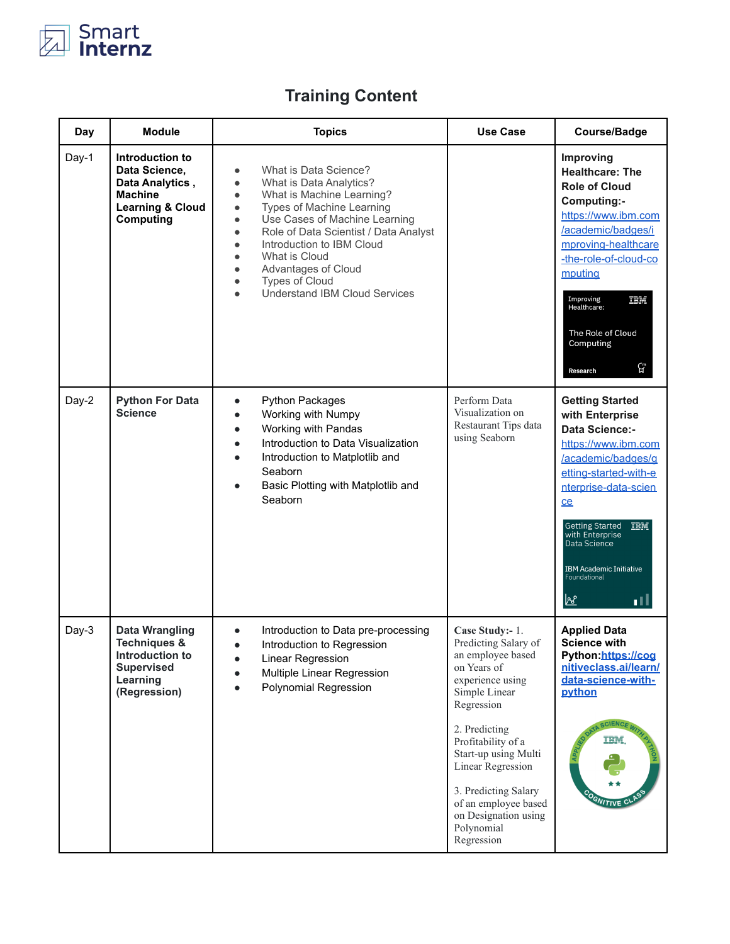

## **Training Content**

| Day   | <b>Module</b>                                                                                                        | <b>Topics</b>                                                                                                                                                                                                                                                                                                                                                                                                                                                                    | <b>Use Case</b>                                                                                                                                                                                                                                                                                                        | <b>Course/Badge</b>                                                                                                                                                                                                                                                                            |
|-------|----------------------------------------------------------------------------------------------------------------------|----------------------------------------------------------------------------------------------------------------------------------------------------------------------------------------------------------------------------------------------------------------------------------------------------------------------------------------------------------------------------------------------------------------------------------------------------------------------------------|------------------------------------------------------------------------------------------------------------------------------------------------------------------------------------------------------------------------------------------------------------------------------------------------------------------------|------------------------------------------------------------------------------------------------------------------------------------------------------------------------------------------------------------------------------------------------------------------------------------------------|
| Day-1 | Introduction to<br>Data Science,<br>Data Analytics,<br><b>Machine</b><br><b>Learning &amp; Cloud</b><br>Computing    | What is Data Science?<br>$\bullet$<br>What is Data Analytics?<br>$\bullet$<br>What is Machine Learning?<br>$\bullet$<br><b>Types of Machine Learning</b><br>$\bullet$<br>Use Cases of Machine Learning<br>$\bullet$<br>Role of Data Scientist / Data Analyst<br>$\bullet$<br>Introduction to IBM Cloud<br>$\bullet$<br>What is Cloud<br>$\bullet$<br>Advantages of Cloud<br>$\bullet$<br><b>Types of Cloud</b><br>$\bullet$<br><b>Understand IBM Cloud Services</b><br>$\bullet$ |                                                                                                                                                                                                                                                                                                                        | Improving<br><b>Healthcare: The</b><br><b>Role of Cloud</b><br>Computing:-<br>https://www.ibm.com<br>/academic/badges/i<br>mproving-healthcare<br>-the-role-of-cloud-co<br>mputing<br>Improving<br>IBM<br>Healthcare:<br>The Role of Cloud<br>Computing<br>ርቻ<br>Research                      |
| Day-2 | <b>Python For Data</b><br><b>Science</b>                                                                             | Python Packages<br>$\bullet$<br>Working with Numpy<br>$\bullet$<br>Working with Pandas<br>$\bullet$<br>Introduction to Data Visualization<br>$\bullet$<br>Introduction to Matplotlib and<br>Seaborn<br>Basic Plotting with Matplotlib and<br>Seaborn                                                                                                                                                                                                                             | Perform Data<br>Visualization on<br>Restaurant Tips data<br>using Seaborn                                                                                                                                                                                                                                              | <b>Getting Started</b><br>with Enterprise<br>Data Science:-<br>https://www.ibm.com<br>/academic/badges/g<br>etting-started-with-e<br>nterprise-data-scien<br>ce<br>Getting Started TEM<br>with Enterprise<br>Data Science<br><b>IBM Academic Initiative</b><br>Foundational<br><u>ାਅ</u><br>пU |
| Day-3 | <b>Data Wrangling</b><br><b>Techniques &amp;</b><br>Introduction to<br><b>Supervised</b><br>Learning<br>(Regression) | Introduction to Data pre-processing<br>$\bullet$<br>Introduction to Regression<br>$\bullet$<br>Linear Regression<br>Multiple Linear Regression<br>Polynomial Regression                                                                                                                                                                                                                                                                                                          | Case Study:- 1.<br>Predicting Salary of<br>an employee based<br>on Years of<br>experience using<br>Simple Linear<br>Regression<br>2. Predicting<br>Profitability of a<br>Start-up using Multi<br>Linear Regression<br>3. Predicting Salary<br>of an employee based<br>on Designation using<br>Polynomial<br>Regression | <b>Applied Data</b><br><b>Science with</b><br>Python:https://cog<br>nitiveclass.ai/learn/<br>data-science-with-<br>python<br>ши.                                                                                                                                                               |